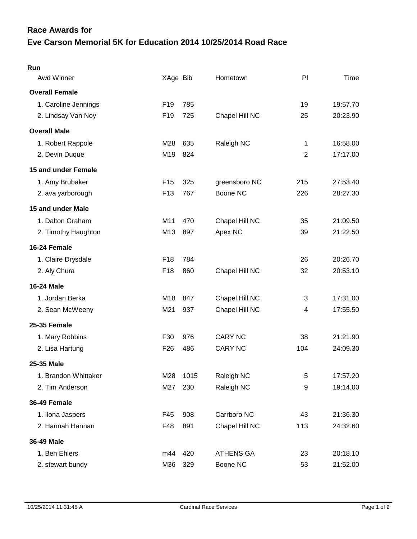## **Eve Carson Memorial 5K for Education 2014 10/25/2014 Road Race Race Awards for**

| Run                   |                 |      |                  |                |          |
|-----------------------|-----------------|------|------------------|----------------|----------|
| <b>Awd Winner</b>     | XAge Bib        |      | Hometown         | PI             | Time     |
| <b>Overall Female</b> |                 |      |                  |                |          |
| 1. Caroline Jennings  | F <sub>19</sub> | 785  |                  | 19             | 19:57.70 |
| 2. Lindsay Van Noy    | F <sub>19</sub> | 725  | Chapel Hill NC   | 25             | 20:23.90 |
| <b>Overall Male</b>   |                 |      |                  |                |          |
| 1. Robert Rappole     | M28             | 635  | Raleigh NC       | 1              | 16:58.00 |
| 2. Devin Duque        | M19             | 824  |                  | $\overline{2}$ | 17:17.00 |
| 15 and under Female   |                 |      |                  |                |          |
| 1. Amy Brubaker       | F <sub>15</sub> | 325  | greensboro NC    | 215            | 27:53.40 |
| 2. ava yarborough     | F <sub>13</sub> | 767  | Boone NC         | 226            | 28:27.30 |
| 15 and under Male     |                 |      |                  |                |          |
| 1. Dalton Graham      | M11             | 470  | Chapel Hill NC   | 35             | 21:09.50 |
| 2. Timothy Haughton   | M13             | 897  | Apex NC          | 39             | 21:22.50 |
| 16-24 Female          |                 |      |                  |                |          |
| 1. Claire Drysdale    | F <sub>18</sub> | 784  |                  | 26             | 20:26.70 |
| 2. Aly Chura          | F18             | 860  | Chapel Hill NC   | 32             | 20:53.10 |
| <b>16-24 Male</b>     |                 |      |                  |                |          |
| 1. Jordan Berka       | M18             | 847  | Chapel Hill NC   | 3              | 17:31.00 |
| 2. Sean McWeeny       | M21             | 937  | Chapel Hill NC   | 4              | 17:55.50 |
| <b>25-35 Female</b>   |                 |      |                  |                |          |
| 1. Mary Robbins       | F30             | 976  | <b>CARY NC</b>   | 38             | 21:21.90 |
| 2. Lisa Hartung       | F <sub>26</sub> | 486  | <b>CARY NC</b>   | 104            | 24:09.30 |
| 25-35 Male            |                 |      |                  |                |          |
| 1. Brandon Whittaker  | M28             | 1015 | Raleigh NC       | 5              | 17:57.20 |
| 2. Tim Anderson       | M27             | 230  | Raleigh NC       | 9              | 19:14.00 |
| 36-49 Female          |                 |      |                  |                |          |
| 1. Ilona Jaspers      | F45             | 908  | Carrboro NC      | 43             | 21:36.30 |
| 2. Hannah Hannan      | F48             | 891  | Chapel Hill NC   | 113            | 24:32.60 |
| 36-49 Male            |                 |      |                  |                |          |
| 1. Ben Ehlers         | m44             | 420  | <b>ATHENS GA</b> | 23             | 20:18.10 |
| 2. stewart bundy      | M36             | 329  | Boone NC         | 53             | 21:52.00 |